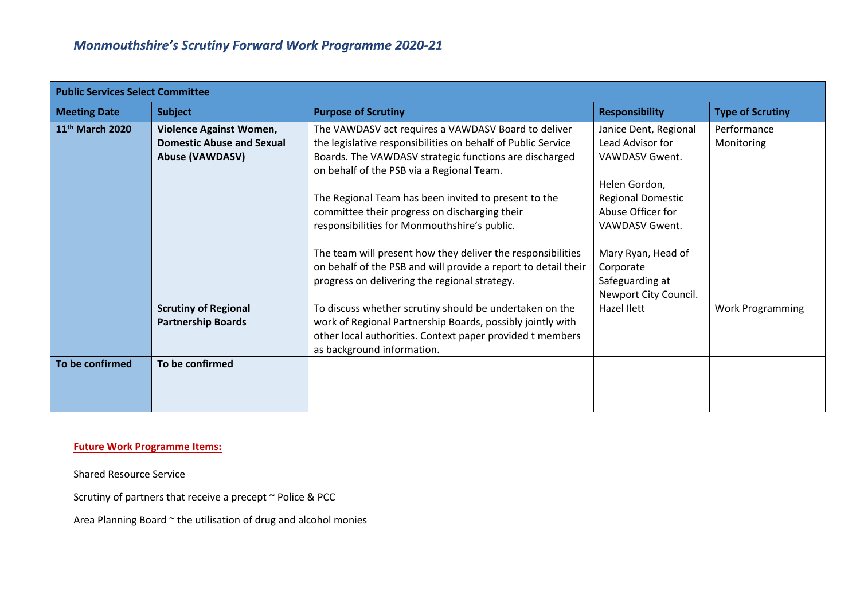| <b>Public Services Select Committee</b> |                                                                                              |                                                                                                                                                                                                                                                                                                                                         |                                                                                                                       |                           |
|-----------------------------------------|----------------------------------------------------------------------------------------------|-----------------------------------------------------------------------------------------------------------------------------------------------------------------------------------------------------------------------------------------------------------------------------------------------------------------------------------------|-----------------------------------------------------------------------------------------------------------------------|---------------------------|
| <b>Meeting Date</b>                     | <b>Subject</b>                                                                               | <b>Purpose of Scrutiny</b>                                                                                                                                                                                                                                                                                                              | <b>Responsibility</b>                                                                                                 | <b>Type of Scrutiny</b>   |
| 11 <sup>th</sup> March 2020             | <b>Violence Against Women,</b><br><b>Domestic Abuse and Sexual</b><br><b>Abuse (VAWDASV)</b> | The VAWDASV act requires a VAWDASV Board to deliver<br>the legislative responsibilities on behalf of Public Service<br>Boards. The VAWDASV strategic functions are discharged<br>on behalf of the PSB via a Regional Team.                                                                                                              | Janice Dent, Regional<br>Lead Advisor for<br>VAWDASV Gwent.<br>Helen Gordon,                                          | Performance<br>Monitoring |
|                                         |                                                                                              | The Regional Team has been invited to present to the<br>committee their progress on discharging their<br>responsibilities for Monmouthshire's public.<br>The team will present how they deliver the responsibilities<br>on behalf of the PSB and will provide a report to detail their<br>progress on delivering the regional strategy. | <b>Regional Domestic</b><br>Abuse Officer for<br>VAWDASV Gwent.<br>Mary Ryan, Head of<br>Corporate<br>Safeguarding at |                           |
|                                         | <b>Scrutiny of Regional</b><br><b>Partnership Boards</b>                                     | To discuss whether scrutiny should be undertaken on the<br>work of Regional Partnership Boards, possibly jointly with<br>other local authorities. Context paper provided t members<br>as background information.                                                                                                                        | Newport City Council.<br>Hazel Ilett                                                                                  | <b>Work Programming</b>   |
| To be confirmed                         | To be confirmed                                                                              |                                                                                                                                                                                                                                                                                                                                         |                                                                                                                       |                           |

## **Future Work Programme Items:**

Shared Resource Service

Scrutiny of partners that receive a precept ~ Police & PCC

Area Planning Board ~ the utilisation of drug and alcohol monies